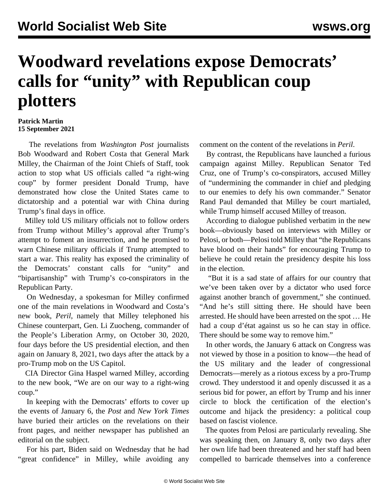## **Woodward revelations expose Democrats' calls for "unity" with Republican coup plotters**

## **Patrick Martin 15 September 2021**

 The revelations from *Washington Post* journalists Bob Woodward and Robert Costa that General Mark Milley, the Chairman of the Joint Chiefs of Staff, took action to stop what US officials called "a right-wing coup" by former president Donald Trump, have demonstrated how close the United States came to dictatorship and a potential war with China during Trump's final days in office.

 Milley told US military officials not to follow orders from Trump without Milley's approval after Trump's attempt to foment an insurrection, and he promised to warn Chinese military officials if Trump attempted to start a war. This reality has exposed the criminality of the Democrats' constant calls for "unity" and "bipartisanship" with Trump's co-conspirators in the Republican Party.

 On Wednesday, a spokesman for Milley confirmed one of the main revelations in Woodward and Costa's new book, *Peril*, namely that Milley telephoned his Chinese counterpart, Gen. Li Zuocheng, commander of the People's Liberation Army, on October 30, 2020, four days before the US presidential election, and then again on January 8, 2021, two days after the attack by a pro-Trump mob on the US Capitol.

 CIA Director Gina Haspel warned Milley, according to the new book, "We are on our way to a right-wing coup."

 In keeping with the Democrats' efforts to cover up the events of January 6, the *Post* and *New York Times* have buried their articles on the revelations on their front pages, and neither newspaper has published an editorial on the subject.

 For his part, Biden said on Wednesday that he had "great confidence" in Milley, while avoiding any

comment on the content of the revelations in *Peril*.

 By contrast, the Republicans have launched a furious campaign against Milley. Republican Senator Ted Cruz, one of Trump's co-conspirators, accused Milley of "undermining the commander in chief and pledging to our enemies to defy his own commander." Senator Rand Paul demanded that Milley be court martialed, while Trump himself accused Milley of treason.

 According to dialogue published verbatim in the new book—obviously based on interviews with Milley or Pelosi, or both—Pelosi told Milley that "the Republicans have blood on their hands" for encouraging Trump to believe he could retain the presidency despite his loss in the election.

 "But it is a sad state of affairs for our country that we've been taken over by a dictator who used force against another branch of government," she continued. "And he's still sitting there. He should have been arrested. He should have been arrested on the spot … He had a coup d'état against us so he can stay in office. There should be some way to remove him."

 In other words, the January 6 attack on Congress was not viewed by those in a position to know—the head of the US military and the leader of congressional Democrats—merely as a riotous excess by a pro-Trump crowd. They understood it and openly discussed it as a serious bid for power, an effort by Trump and his inner circle to block the certification of the election's outcome and hijack the presidency: a political coup based on fascist violence.

 The quotes from Pelosi are particularly revealing. She was speaking then, on January 8, only two days after her own life had been threatened and her staff had been compelled to barricade themselves into a conference